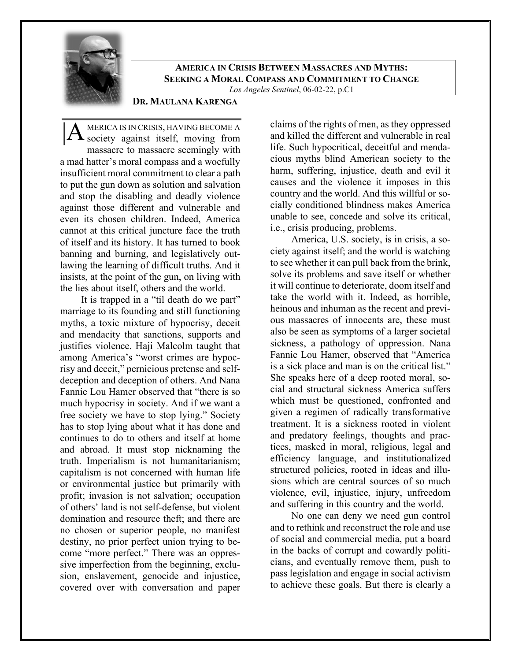

**AMERICA IN CRISIS BETWEEN MASSACRES AND MYTHS: SEEKING A MORAL COMPASS AND COMMITMENT TO CHANGE**

## *Los Angeles Sentinel*, 06-02-22, p.C1

# **DR. MAULANA KARENGA**

MERICA IS IN CRISIS, HAVING BECOME A  $|A$  MERICA IS IN CRISIS, HAVING BECOME A society against itself, moving from massacre to massacre seemingly with a mad hatter's moral compass and a woefully insufficient moral commitment to clear a path to put the gun down as solution and salvation and stop the disabling and deadly violence against those different and vulnerable and even its chosen children. Indeed, America cannot at this critical juncture face the truth of itself and its history. It has turned to book banning and burning, and legislatively outlawing the learning of difficult truths. And it insists, at the point of the gun, on living with the lies about itself, others and the world.

It is trapped in a "til death do we part" marriage to its founding and still functioning myths, a toxic mixture of hypocrisy, deceit and mendacity that sanctions, supports and justifies violence. Haji Malcolm taught that among America's "worst crimes are hypocrisy and deceit," pernicious pretense and selfdeception and deception of others. And Nana Fannie Lou Hamer observed that "there is so much hypocrisy in society. And if we want a free society we have to stop lying." Society has to stop lying about what it has done and continues to do to others and itself at home and abroad. It must stop nicknaming the truth. Imperialism is not humanitarianism; capitalism is not concerned with human life or environmental justice but primarily with profit; invasion is not salvation; occupation of others' land is not self-defense, but violent domination and resource theft; and there are no chosen or superior people, no manifest destiny, no prior perfect union trying to become "more perfect." There was an oppressive imperfection from the beginning, exclusion, enslavement, genocide and injustice, covered over with conversation and paper

claims of the rights of men, as they oppressed and killed the different and vulnerable in real life. Such hypocritical, deceitful and mendacious myths blind American society to the harm, suffering, injustice, death and evil it causes and the violence it imposes in this country and the world. And this willful or socially conditioned blindness makes America unable to see, concede and solve its critical, i.e., crisis producing, problems.

America, U.S. society, is in crisis, a society against itself; and the world is watching to see whether it can pull back from the brink, solve its problems and save itself or whether it will continue to deteriorate, doom itself and take the world with it. Indeed, as horrible, heinous and inhuman as the recent and previous massacres of innocents are, these must also be seen as symptoms of a larger societal sickness, a pathology of oppression. Nana Fannie Lou Hamer, observed that "America is a sick place and man is on the critical list." She speaks here of a deep rooted moral, social and structural sickness America suffers which must be questioned, confronted and given a regimen of radically transformative treatment. It is a sickness rooted in violent and predatory feelings, thoughts and practices, masked in moral, religious, legal and efficiency language, and institutionalized structured policies, rooted in ideas and illusions which are central sources of so much violence, evil, injustice, injury, unfreedom and suffering in this country and the world.

No one can deny we need gun control and to rethink and reconstruct the role and use of social and commercial media, put a board in the backs of corrupt and cowardly politicians, and eventually remove them, push to pass legislation and engage in social activism to achieve these goals. But there is clearly a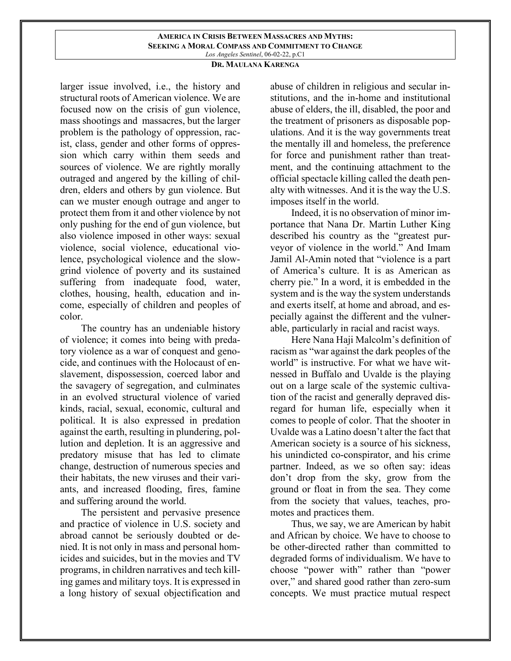### **AMERICA IN CRISIS BETWEEN MASSACRES AND MYTHS: SEEKING A MORAL COMPASS AND COMMITMENT TO CHANGE** *Los Angeles Sentinel*, 06-02-22, p.C1

## **DR. MAULANA KARENGA**

larger issue involved, i.e., the history and structural roots of American violence. We are focused now on the crisis of gun violence, mass shootings and massacres, but the larger problem is the pathology of oppression, racist, class, gender and other forms of oppression which carry within them seeds and sources of violence. We are rightly morally outraged and angered by the killing of children, elders and others by gun violence. But can we muster enough outrage and anger to protect them from it and other violence by not only pushing for the end of gun violence, but also violence imposed in other ways: sexual violence, social violence, educational violence, psychological violence and the slowgrind violence of poverty and its sustained suffering from inadequate food, water, clothes, housing, health, education and income, especially of children and peoples of color.

The country has an undeniable history of violence; it comes into being with predatory violence as a war of conquest and genocide, and continues with the Holocaust of enslavement, dispossession, coerced labor and the savagery of segregation, and culminates in an evolved structural violence of varied kinds, racial, sexual, economic, cultural and political. It is also expressed in predation against the earth, resulting in plundering, pollution and depletion. It is an aggressive and predatory misuse that has led to climate change, destruction of numerous species and their habitats, the new viruses and their variants, and increased flooding, fires, famine and suffering around the world.

The persistent and pervasive presence and practice of violence in U.S. society and abroad cannot be seriously doubted or denied. It is not only in mass and personal homicides and suicides, but in the movies and TV programs, in children narratives and tech killing games and military toys. It is expressed in a long history of sexual objectification and

abuse of children in religious and secular institutions, and the in-home and institutional abuse of elders, the ill, disabled, the poor and the treatment of prisoners as disposable populations. And it is the way governments treat the mentally ill and homeless, the preference for force and punishment rather than treatment, and the continuing attachment to the official spectacle killing called the death penalty with witnesses. And it is the way the U.S. imposes itself in the world.

Indeed, it is no observation of minor importance that Nana Dr. Martin Luther King described his country as the "greatest purveyor of violence in the world." And Imam Jamil Al-Amin noted that "violence is a part of America's culture. It is as American as cherry pie." In a word, it is embedded in the system and is the way the system understands and exerts itself, at home and abroad, and especially against the different and the vulnerable, particularly in racial and racist ways.

Here Nana Haji Malcolm's definition of racism as "war against the dark peoples of the world" is instructive. For what we have witnessed in Buffalo and Uvalde is the playing out on a large scale of the systemic cultivation of the racist and generally depraved disregard for human life, especially when it comes to people of color. That the shooter in Uvalde was a Latino doesn't alter the fact that American society is a source of his sickness, his unindicted co-conspirator, and his crime partner. Indeed, as we so often say: ideas don't drop from the sky, grow from the ground or float in from the sea. They come from the society that values, teaches, promotes and practices them.

Thus, we say, we are American by habit and African by choice. We have to choose to be other-directed rather than committed to degraded forms of individualism. We have to choose "power with" rather than "power over," and shared good rather than zero-sum concepts. We must practice mutual respect